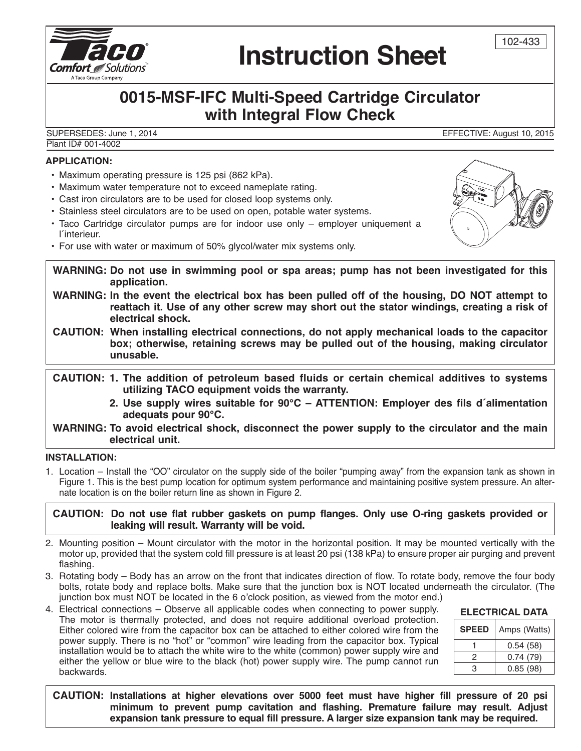

# **Instruction Sheet**

### **0015-MSF-IFC Multi-Speed Cartridge Circulator with Integral Flow Check**

SUPERSEDES: June 1, 2014 EFFECTIVE: August 10, 2015 Plant ID# 001-4002

#### **APPLICATION:**

- Maximum operating pressure is 125 psi (862 kPa).
- Maximum water temperature not to exceed nameplate rating.
- Cast iron circulators are to be used for closed loop systems only.
- Stainless steel circulators are to be used on open, potable water systems.
- Taco Cartridge circulator pumps are for indoor use only employer uniquement a l´interieur.
- For use with water or maximum of 50% glycol/water mix systems only.

**WARNING: Do not use in swimming pool or spa areas; pump has not been investigated for this application.**

- **WARNING: In the event the electrical box has been pulled off of the housing, DO NOT attempt to reattach it. Use of any other screw may short out the stator windings, creating a risk of electrical shock.**
- **CAUTION: When installing electrical connections, do not apply mechanical loads to the capacitor box; otherwise, retaining screws may be pulled out of the housing, making circulator unusable.**

**CAUTION: 1. The addition of petroleum based fluids or certain chemical additives to systems utilizing TACO equipment voids the warranty.**

> **2. Use supply wires suitable for 90°C – ATTENTION: Employer des fils d´alimentation adequats pour 90°C.**

**WARNING: To avoid electrical shock, disconnect the power supply to the circulator and the main electrical unit.**

#### **INSTALLATION:**

1. Location – Install the "OO" circulator on the supply side of the boiler "pumping away" from the expansion tank as shown in Figure 1. This is the best pump location for optimum system performance and maintaining positive system pressure. An alternate location is on the boiler return line as shown in Figure 2.

**CAUTION: Do not use flat rubber gaskets on pump flanges. Only use O-ring gaskets provided or leaking will result. Warranty will be void.**

- 2. Mounting position Mount circulator with the motor in the horizontal position. It may be mounted vertically with the motor up, provided that the system cold fill pressure is at least 20 psi (138 kPa) to ensure proper air purging and prevent flashing.
- 3. Rotating body Body has an arrow on the front that indicates direction of flow. To rotate body, remove the four body bolts, rotate body and replace bolts. Make sure that the junction box is NOT located underneath the circulator. (The junction box must NOT be located in the 6 o'clock position, as viewed from the motor end.)
- 4. Electrical connections Observe all applicable codes when connecting to power supply. The motor is thermally protected, and does not require additional overload protection. Either colored wire from the capacitor box can be attached to either colored wire from the power supply. There is no "hot" or "common" wire leading from the capacitor box. Typical installation would be to attach the white wire to the white (common) power supply wire and either the yellow or blue wire to the black (hot) power supply wire. The pump cannot run backwards.

**ELECTRICAL DATA**

| <b>SPEED</b> | Amps (Watts) |  |
|--------------|--------------|--|
|              | 0.54(58)     |  |
| 2            | 0.74(79)     |  |
| З            | 0.85(98)     |  |

**CAUTION: Installations at higher elevations over 5000 feet must have higher fill pressure of 20 psi minimum to prevent pump cavitation and flashing. Premature failure may result. Adjust expansion tank pressure to equal fill pressure. A larger size expansion tank may be required.**



102-433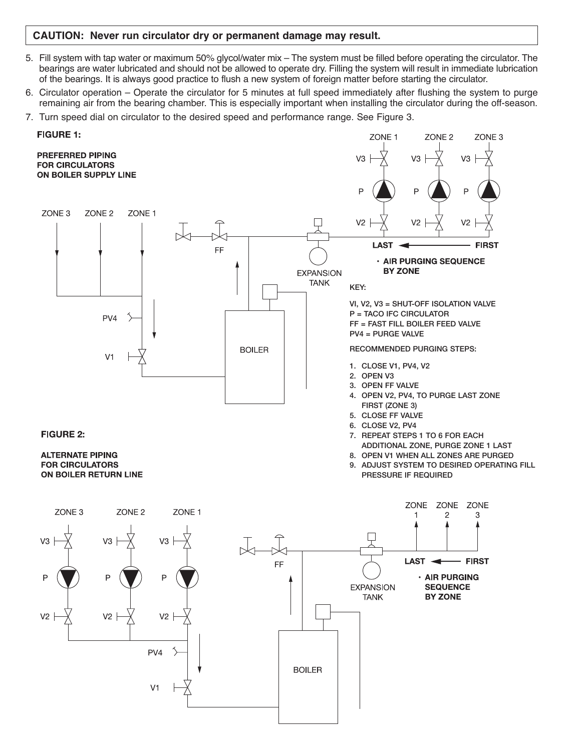#### **CAUTION: Never run circulator dry or permanent damage may result.**

- 5. Fill system with tap water or maximum 50% glycol/water mix The system must be filled before operating the circulator. The bearings are water lubricated and should not be allowed to operate dry. Filling the system will result in immediate lubrication of the bearings. It is always good practice to flush a new system of foreign matter before starting the circulator.
- 6. Circulator operation Operate the circulator for 5 minutes at full speed immediately after flushing the system to purge remaining air from the bearing chamber. This is especially important when installing the circulator during the off-season.
- 7. Turn speed dial on circulator to the desired speed and performance range. See Figure 3.

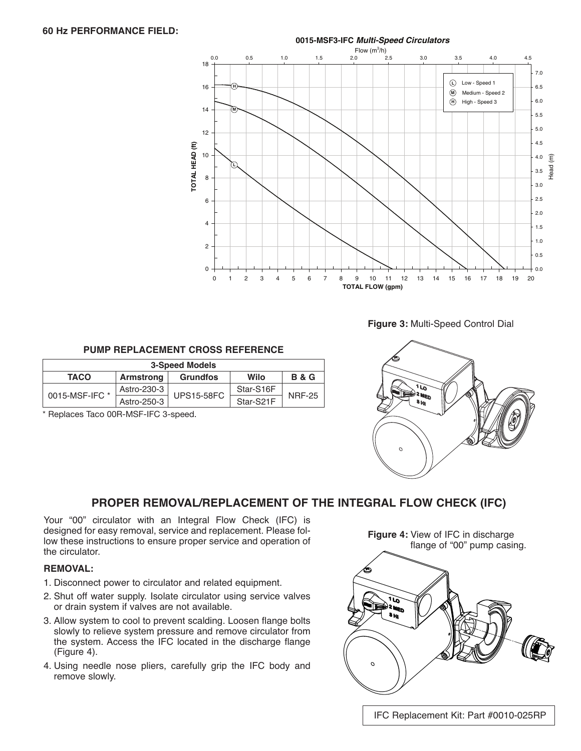

**Figure 3:** Multi-Speed Control Dial

#### **PUMP REPLACEMENT CROSS REFERENCE**

| <b>3-Speed Models</b> |                  |                   |           |                |  |
|-----------------------|------------------|-------------------|-----------|----------------|--|
| <b>TACO</b>           | <b>Armstrong</b> | <b>Grundfos</b>   | Wilo      | <b>B&amp;G</b> |  |
| 0015-MSF-IFC *        | Astro-230-3      | <b>UPS15-58FC</b> | Star-S16F | <b>NRF-25</b>  |  |
|                       | Astro-250-3      |                   | Star-S21F |                |  |

\* Replaces Taco 00R-MSF-IFC 3-speed.



#### **PROPER REMOVAL/REPLACEMENT OF THE INTEGRAL FLOW CHECK (IFC)**

Your "00" circulator with an Integral Flow Check (IFC) is designed for easy removal, service and replacement. Please follow these instructions to ensure proper service and operation of the circulator.

#### **REMOVAL:**

- 1. Disconnect power to circulator and related equipment.
- 2. Shut off water supply. Isolate circulator using service valves or drain system if valves are not available.
- 3. Allow system to cool to prevent scalding. Loosen flange bolts slowly to relieve system pressure and remove circulator from the system. Access the IFC located in the discharge flange (Figure 4).
- 4. Using needle nose pliers, carefully grip the IFC body and remove slowly.

**Figure 4:** View of IFC in discharge flange of "00" pump casing.